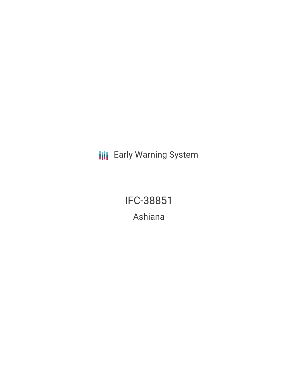**III** Early Warning System

IFC-38851 Ashiana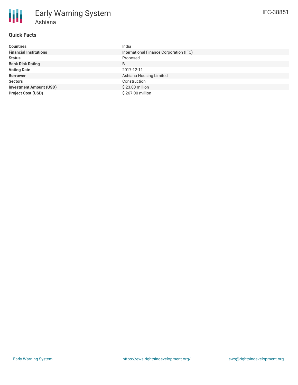| <b>Countries</b>               | India                                   |
|--------------------------------|-----------------------------------------|
| <b>Financial Institutions</b>  | International Finance Corporation (IFC) |
| <b>Status</b>                  | Proposed                                |
| <b>Bank Risk Rating</b>        | B                                       |
| <b>Voting Date</b>             | 2017-12-11                              |
| <b>Borrower</b>                | Ashiana Housing Limited                 |
| <b>Sectors</b>                 | Construction                            |
| <b>Investment Amount (USD)</b> | \$23.00 million                         |
| <b>Project Cost (USD)</b>      | \$267.00 million                        |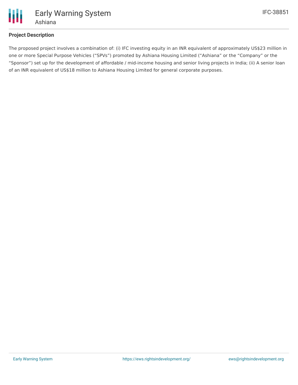

## **Project Description**

The proposed project involves a combination of: (i) IFC investing equity in an INR equivalent of approximately US\$23 million in one or more Special Purpose Vehicles ("SPVs") promoted by Ashiana Housing Limited ("Ashiana" or the "Company" or the "Sponsor") set up for the development of affordable / mid-income housing and senior living projects in India; (ii) A senior loan of an INR equivalent of US\$18 million to Ashiana Housing Limited for general corporate purposes.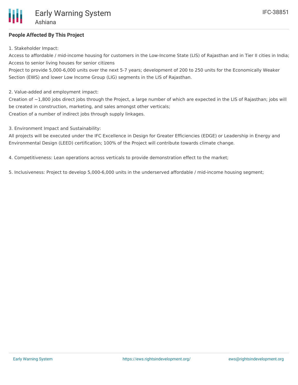# **People Affected By This Project**

1. Stakeholder Impact:

Access to affordable / mid-income housing for customers in the Low-Income State (LIS) of Rajasthan and in Tier II cities in India; Access to senior living houses for senior citizens

Project to provide 5,000-6,000 units over the next 5-7 years; development of 200 to 250 units for the Economically Weaker Section (EWS) and lower Low Income Group (LIG) segments in the LIS of Rajasthan.

2. Value-added and employment impact:

Creation of  $\sim$ 1,800 jobs direct jobs through the Project, a large number of which are expected in the LIS of Rajasthan; jobs will be created in construction, marketing, and sales amongst other verticals; Creation of a number of indirect jobs through supply linkages.

3. Environment Impact and Sustainability:

All projects will be executed under the IFC Excellence in Design for Greater Efficiencies (EDGE) or Leadership in Energy and Environmental Design (LEED) certification; 100% of the Project will contribute towards climate change.

4. Competitiveness: Lean operations across verticals to provide demonstration effect to the market;

5. Inclusiveness: Project to develop 5,000-6,000 units in the underserved affordable / mid-income housing segment;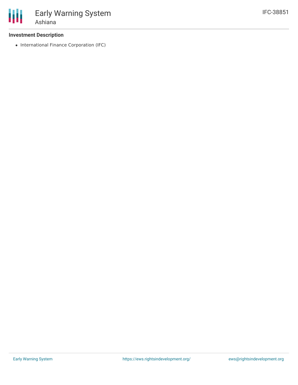### **Investment Description**

• International Finance Corporation (IFC)